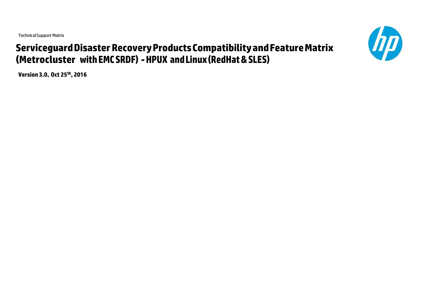TechnicalSupport Matrix

# **ServiceguardDisaster RecoveryProductsCompatibilityandFeatureMatrix (Metrocluster withEMCSRDF) -HPUX andLinux(RedHat&SLES)**

**Version3.0, Oct 25th, 2016**

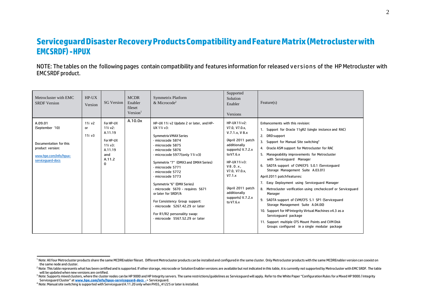### **ServiceguardDisasterRecoveryProductsCompatibilityandFeatureMatrix(Metroclusterwith EMCSRDF)-HPUX**

NOTE: The tables on the following pages contain compatibility and features information for released versions of the HP Metrocluster with EMCSRDF product.

| Metrocluster with EMC<br><b>SRDF</b> Version                                                                            | $HP-UX$<br>Version                     | <b>SG Version</b>                                                                        | <b>MCDR</b><br>Enabler<br>fileset<br>Version <sup>1</sup> | <b>Symmetrix Platform</b><br>& Microcode <sup>2</sup>                                                                                                                                                                                                                                                                                                                                                                                                                                                                  | Supported<br>Solution<br>Enabler<br>Versions                                                                                                                                                                                                          | Feature(s)                                                                                                                                                                                                                                                                                                                                                                                                                                                                                                                                                                                                                                                                                                                                                                                                                              |
|-------------------------------------------------------------------------------------------------------------------------|----------------------------------------|------------------------------------------------------------------------------------------|-----------------------------------------------------------|------------------------------------------------------------------------------------------------------------------------------------------------------------------------------------------------------------------------------------------------------------------------------------------------------------------------------------------------------------------------------------------------------------------------------------------------------------------------------------------------------------------------|-------------------------------------------------------------------------------------------------------------------------------------------------------------------------------------------------------------------------------------------------------|-----------------------------------------------------------------------------------------------------------------------------------------------------------------------------------------------------------------------------------------------------------------------------------------------------------------------------------------------------------------------------------------------------------------------------------------------------------------------------------------------------------------------------------------------------------------------------------------------------------------------------------------------------------------------------------------------------------------------------------------------------------------------------------------------------------------------------------------|
| A.09.01<br>(September '10)<br>Documentation for this<br>product version:<br>www.hpe.com/info/hpux-<br>serviceguard-docs | 11i v <sub>2</sub><br>or<br>$11i$ $v3$ | For HP-UX<br>11i v2:<br>A.11.19<br>For HP-UX<br>11i v3:<br>A.11.19<br>and<br>A.11.2<br>0 | A.10.0x                                                   | HP-UX 11i v2 Update 2 or later, and HP-<br>UX 11i v3:<br><b>Symmetrix VMAX Series</b><br>- microcode 5874<br>- microcode 5875<br>- microcode 5876<br>- microcode 5977(only 11i v3)<br>Symmetrix "7" (DMX3 and DMX4 Series)<br>- microcode 5771<br>- microcode 5772<br>- microcode 5773<br>Symmetrix "6" (DMX Series)<br>- microcode 5670 - requires 5671<br>or later for SRDF/A<br>For Consistency Group support:<br>- microcode 5267.42.29 or later<br>For R1/R2 personality swap:<br>- microcode 5567.52.29 or later | HP-UX 11i v2:<br>V7.0, V7.0.x,<br>V.7.1.x, V.8.x<br>(April 2011 patch<br>additionally<br>supports) V.7.2.x<br>to V7.6.x<br>HP-UX 11i v3:<br>V8.0.x.<br>V7.0. V7.0.x.<br>V7.1.x<br>(April 2011 patch<br>additionally<br>supports) V.7.2.x<br>to V7.6.x | Enhancements with this revision:<br>1. Support for Oracle 11gR2 (single instance and RAC)<br>2. DRD support<br>3. Support for Manual Site switching <sup>4</sup><br>4. Oracle ASM support for Metrocluster for RAC<br>5. Manageability improvements for Metrocluster<br>with Serviceguard Manager<br>6. SADTA support of CVM/CFS 5.0.1 (Servicequard<br>Storage Management Suite A.03.01)<br>April 2011 patchfeatures:<br>7. Easy Deployment using Serviceguard Manager<br>8. Metrocluster verification using cmcheckconf or Serviceguard<br>Manager<br>9. SADTA support of CVM/CFS 5.1 SP1 (Servicequard<br>Storage Management Suite A.04.00)<br>10. Support for HPIntegrity Virtual Machines v4.3 as a<br>Serviceguard package<br>11. Support multiple CFS Mount Points and CVM Disk<br>Groups configured in a single modular package |

<sup>&</sup>lt;sup>1</sup> Note: All four Metrocluster products share the same MCDREnabler fileset. Different Metrocluster products can be installed and configured in the same cluster. Only Metrocluster products with the same MCDREnabler version the same node and cluster.

<sup>&</sup>lt;sup>2</sup> Note: This table represents what has been certified and is supported. If other storage, microcode or Solution Enabler versions are available but not indicated in this table, it is currently not supported by Metrocluste

<sup>&</sup>lt;sup>3</sup> Note: Supports mixed clusters, where the cluster nodes can be HP 9000 and HP Integrity servers. The same restrictions/quidelines as Serviceguard will apply. Refer to the White Paper "Configuration Rules for a Mixed HP Serviceguard Cluster" at **[www.hpe.com/info/hpux-serviceguard-docs](http://www.hpe.com/go/hpux-serviceguard-docs%20%20-)** -> Serviceguard.

<sup>&</sup>lt;sup>4</sup> Note: Manual site switching is supported with Serviceguard A.11.20 only when PHSS<sup>3</sup>41225 or later is installed.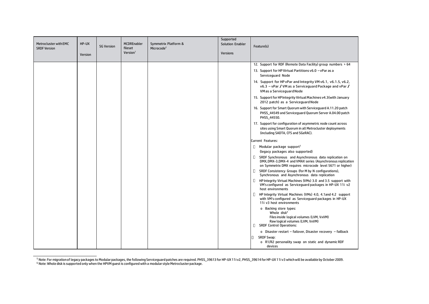| Metrocluster with EMC<br><b>SRDF Version</b> | HP-UX<br>Version | <b>SG Version</b> | <b>MCDREnabler</b><br>fileset<br>Version <sup>1</sup> | Symmetrix Platform &<br>Microcode <sup>2</sup> | Supported<br><b>Solution Enabler</b><br><b>Versions</b> | Feature(s)                                                                                                                                                                              |
|----------------------------------------------|------------------|-------------------|-------------------------------------------------------|------------------------------------------------|---------------------------------------------------------|-----------------------------------------------------------------------------------------------------------------------------------------------------------------------------------------|
|                                              |                  |                   |                                                       |                                                |                                                         | 12. Support for RDF (Remote Data Facility) group numbers > 64                                                                                                                           |
|                                              |                  |                   |                                                       |                                                |                                                         | 13. Support for HP Virtual Partitions v6.0 - vPar as a<br>Serviceguard Node                                                                                                             |
|                                              |                  |                   |                                                       |                                                |                                                         | 14. Support for HP vPar and Integrity VM v6.1, v6.1.5, v6.2,<br>v6.3 - vPar / VM as a Serviceguard Package and vPar /<br>VM as a Serviceguard Node                                      |
|                                              |                  |                   |                                                       |                                                |                                                         | 15. Support for HPIntegrity Virtual Machines v4.3 (with January<br>2012 patch) as a Serviceguard Node                                                                                   |
|                                              |                  |                   |                                                       |                                                |                                                         | 16. Support for Smart Quorum with Serviceguard A.11.20 patch<br>PHSS_44549 and Serviceguard Quorum Server A.04.00 patch<br>PHSS_44550.                                                  |
|                                              |                  |                   |                                                       |                                                |                                                         | 17. Support for configuration of asymmetric node count across<br>sites using Smart Quorum in all Metrocluster deployments<br>(including SADTA, CFS and SGeRAC).                         |
|                                              |                  |                   |                                                       |                                                |                                                         | Current Features:                                                                                                                                                                       |
|                                              |                  |                   |                                                       |                                                |                                                         | $\Box$ Modular package support <sup>5</sup>                                                                                                                                             |
|                                              |                  |                   |                                                       |                                                |                                                         | (legacy packages also supported)                                                                                                                                                        |
|                                              |                  |                   |                                                       |                                                |                                                         | SRDF Synchronous and Asynchronous data replication on<br>O.<br>DMX, DMX-3, DMX-4 and VMAX series (Asynchronous replication<br>on Symmetrix DMX requires microcode level 5671 or higher) |
|                                              |                  |                   |                                                       |                                                |                                                         | SRDF Consistency Groups (for M by N configurations),<br>Synchronous and Asynchronous data replication                                                                                   |
|                                              |                  |                   |                                                       |                                                |                                                         | O.<br>HP Integrity Virtual Machines (VMs) 3.0 and 3.5 support with<br>VM's configured as Serviceguard packages in HP-UX 11i v2<br>host environments                                     |
|                                              |                  |                   |                                                       |                                                |                                                         | HP Integrity Virtual Machines (VMs) 4.0, 4.1 and 4.2 support<br>with VM's configured as Serviceguard packages in HP-UX<br>11i v3 host environments                                      |
|                                              |                  |                   |                                                       |                                                |                                                         | o Backing store types:<br>Whole disk <sup>6</sup><br>Files inside logical volumes (LVM, VxVM)<br>Raw logical volumes (LVM, VxVM)<br><b>SRDF Control Operations:</b><br>O                |
|                                              |                  |                   |                                                       |                                                |                                                         | o Disaster restart - failover, Disaster recovery - failback                                                                                                                             |
|                                              |                  |                   |                                                       |                                                |                                                         | SRDF Swap:                                                                                                                                                                              |
|                                              |                  |                   |                                                       |                                                |                                                         | o R1/R2 personality swap on static and dynamic RDF<br>devices                                                                                                                           |

<sup>5</sup> Note: For migrationof legacy packages to Modular packages, the following Serviceguard patches are required. PHSS\_39613 for HP-UX 11i v2, PHSS\_39614 forHP-UX 11i v3 whichwill be available by October 2009. <sup>6</sup> Note: Whole disk is supported only when the HPVM guest is configured with a modular style Metroclusterpackage.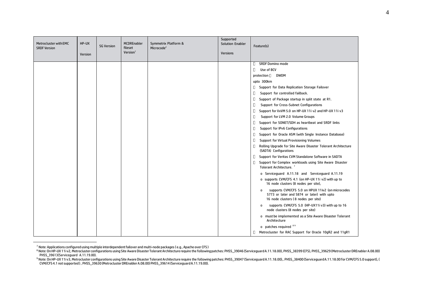| Metrocluster with EMC<br><b>SRDF Version</b> | HP-UX<br>Version | <b>SG Version</b> | <b>MCDREnabler</b><br>fileset<br>Version <sup>1</sup> | Symmetrix Platform &<br>Microcode <sup>2</sup> | Supported<br><b>Solution Enabler</b><br><b>Versions</b> | Feature(s)                                                                                                                                             |
|----------------------------------------------|------------------|-------------------|-------------------------------------------------------|------------------------------------------------|---------------------------------------------------------|--------------------------------------------------------------------------------------------------------------------------------------------------------|
|                                              |                  |                   |                                                       |                                                |                                                         | <b>SRDF Domino mode</b><br>0                                                                                                                           |
|                                              |                  |                   |                                                       |                                                |                                                         | Use of BCV<br>O                                                                                                                                        |
|                                              |                  |                   |                                                       |                                                |                                                         | protection D DWDM                                                                                                                                      |
|                                              |                  |                   |                                                       |                                                |                                                         | upto 300km                                                                                                                                             |
|                                              |                  |                   |                                                       |                                                |                                                         | Support for Data Replication Storage Failover<br>U                                                                                                     |
|                                              |                  |                   |                                                       |                                                |                                                         | О<br>Support for controlled failback.                                                                                                                  |
|                                              |                  |                   |                                                       |                                                |                                                         | O<br>Support of Package startup in split state at R1.                                                                                                  |
|                                              |                  |                   |                                                       |                                                |                                                         | O<br>Support for Cross-Subnet Configurations                                                                                                           |
|                                              |                  |                   |                                                       |                                                |                                                         | O<br>Support for VxVM 5.0 on HP-UX 11i v2 and HP-UX 11i v3                                                                                             |
|                                              |                  |                   |                                                       |                                                |                                                         | O<br>Support for LVM 2.0 Volume Groups                                                                                                                 |
|                                              |                  |                   |                                                       |                                                |                                                         | Support for SONET/SDH as heartbeat and SRDF links<br>Ο                                                                                                 |
|                                              |                  |                   |                                                       |                                                |                                                         | O<br>Support for IPv6 Configurations                                                                                                                   |
|                                              |                  |                   |                                                       |                                                |                                                         | 0<br>Support for Oracle ASM (with Single Instance Database)                                                                                            |
|                                              |                  |                   |                                                       |                                                |                                                         | Ο<br>Support for Virtual Provisioning Volumes                                                                                                          |
|                                              |                  |                   |                                                       |                                                |                                                         | Rolling Upgrade for Site Aware Disaster Tolerant Architecture<br>Π<br>(SADTA) Configurations                                                           |
|                                              |                  |                   |                                                       |                                                |                                                         | Support for Veritas CVM Standalone Software in SADTA<br>O                                                                                              |
|                                              |                  |                   |                                                       |                                                |                                                         | Support for Complex workloads using Site Aware Disaster<br>П<br>Tolerant Architecture. <sup>7</sup>                                                    |
|                                              |                  |                   |                                                       |                                                |                                                         | o Serviceguard A.11.18 and Serviceguard A.11.19                                                                                                        |
|                                              |                  |                   |                                                       |                                                |                                                         | o supports CVM/CFS 4.1 (on HP-UX 11i v2) with up to<br>16 node clusters (8 nodes per site),                                                            |
|                                              |                  |                   |                                                       |                                                |                                                         | supports CVM/CFS 5.0 on HPUX 11iv2 (on microcodes<br>$\mathbf{o}$<br>5773 or later and 5874 or later) with upto<br>16 node clusters (8 nodes per site) |
|                                              |                  |                   |                                                       |                                                |                                                         | supports CVM/CFS 5.0 (HP-UX11i v3) with up to 16<br>0<br>node clusters (8 nodes per site)                                                              |
|                                              |                  |                   |                                                       |                                                |                                                         | o must be implemented as a Site Aware Disaster Tolerant<br>Architecture                                                                                |
|                                              |                  |                   |                                                       |                                                |                                                         | o patches required 89                                                                                                                                  |
|                                              |                  |                   |                                                       |                                                |                                                         | I Metrocluster for RAC Support for Oracle 10gR2 and 11gR1                                                                                              |

 $^7$  Note: Applications configured using multiple interdependent failover and multi-node packages (e.g., Apache over CFS )

<sup>&</sup>lt;sup>8</sup> Note: On HP-UX 11iv2, Metrocluster configurations using Site Aware Disaster Tolerant Architecture require the following patches: PHSS\_39046 (Serviceguard A.11.18.00), PHSS\_38399 (CFS), PHSS\_39629 (Metrocluster DREnable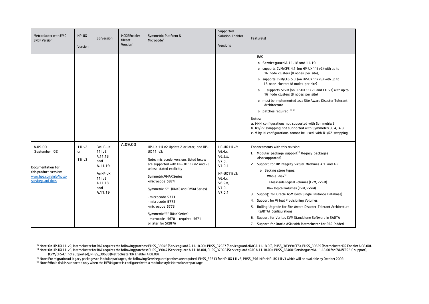| Metrocluster with EMC<br><b>SRDF Version</b>                                                                            | HP-UX<br>Version                       | <b>SG Version</b>                                                                                      | <b>MCDREnabler</b><br>fileset<br>Version <sup>1</sup> | Symmetrix Platform &<br>Microcode <sup>2</sup>                                                                                                                                                                                                                                                                                                                                                                      | Supported<br><b>Solution Enabler</b><br><b>Versions</b>                                                         | Feature(s)                                                                                                                                                                                                                                                                                                                                                                                                                                                                                                                                                                                                                                           |
|-------------------------------------------------------------------------------------------------------------------------|----------------------------------------|--------------------------------------------------------------------------------------------------------|-------------------------------------------------------|---------------------------------------------------------------------------------------------------------------------------------------------------------------------------------------------------------------------------------------------------------------------------------------------------------------------------------------------------------------------------------------------------------------------|-----------------------------------------------------------------------------------------------------------------|------------------------------------------------------------------------------------------------------------------------------------------------------------------------------------------------------------------------------------------------------------------------------------------------------------------------------------------------------------------------------------------------------------------------------------------------------------------------------------------------------------------------------------------------------------------------------------------------------------------------------------------------------|
|                                                                                                                         |                                        |                                                                                                        |                                                       |                                                                                                                                                                                                                                                                                                                                                                                                                     |                                                                                                                 | <b>RAC</b><br>o Serviceguard A.11.18 and 11.19<br>o supports CVM/CFS 4.1 (on HP-UX 11i v2) with up to<br>16 node clusters (8 nodes per site),<br>o supports CVM/CFS 5.0 (on HP-UX 11i v3) with up to<br>16 node clusters (8 nodes per site)<br>supports SLVM (on HP-UX 11i v2 and 11i v3) with up to<br>0<br>16 node clusters (8 nodes per site)<br>o must be implemented as a Site Aware Disaster Tolerant<br>Architecture<br>o patches required 10 11<br>Notes:<br>a. MxN configurations not supported with Symmetrix 3<br>b. R1/R2 swapping not supported with Symmetrix 3, 4, 4.8<br>c. M by N configurations cannot be used with R1/R2 swapping |
| A.09.00<br>(September '09)<br>Documentation for<br>this product version:<br>www.hpe.com/info/hpux-<br>servicequard-docs | 11i v <sub>2</sub><br>or<br>$11i$ $v3$ | For HP-UX<br>11i v2:<br>A.11.18<br>and<br>A.11.19<br>For HP-UX<br>11i v3:<br>A.11.18<br>and<br>A.11.19 | A.09.00                                               | HP-UX 11i v2 Update 2 or later, and HP-<br>UX 11i v3:<br>Note: microcode versions listed below<br>are supported with HP-UX 11i v2 and v3<br>unless stated explicitly<br><b>Symmetrix VMAX Series</b><br>-microcode 5874<br>Symmetrix "7" (DMX3 and DMX4 Series)<br>- microcode 5771<br>- microcode 5772<br>-microcode 5773<br>Symmetrix "6" (DMX Series)<br>- microcode 5670 - requires 5671<br>or later for SRDF/A | HP-UX 11i v2:<br>V6.4.x.<br>V6.5.x,<br>V7.0<br>V7.0.1<br>HP-UX 11i v3:<br>V6.4.x.<br>V6.5.x,<br>V7.0,<br>V7.0.1 | Enhancements with this revision:<br>1. Modular package support <sup>12</sup> (legacy packages<br>also supported)<br>2. Support for HP Integrity Virtual Machines 4.1 and 4.2<br>o Backing store types:<br>Whole disk <sup>13</sup><br>Files inside logical volumes (LVM, VxVM)<br>Raw logical volumes (LVM, VxVM)<br>3. Support for Oracle ASM (with Single Instance Database)<br>4. Support for Virtual Provisioning Volumes<br>5. Rolling Upgrade for Site Aware Disaster Tolerant Architecture<br>(SADTA) Configurations<br>6. Support for Veritas CVM Standalone Software in SADTA<br>7. Support for Oracle ASM with Metrocluster for RAC (added |

<sup>12</sup> Note: For migration of legacy packages to Modular packages, the following Serviceguard patches are required. PHSS\_39613 for HP-UX 11i v2, PHSS\_39614 for HP-UX 11i v3 which will be available by October 2009.

<sup>13</sup> Note: Whole disk is supported only when the HPVM guest is configured with a modular style Metrocluster package.

<sup>10</sup> Note: OnHP-UX 11i v2, Metroclusterfor RAC requires the following patches: PHSS\_39046 (ServiceguardA.11.18.00), PHSS\_37927 (ServiceguardeRAC A.11.18.00), PHSS\_38399(CFS), PHSS\_39629 (MetroclusterDR Enabler A.08.00). <sup>11</sup> Note:OnHP-UX 11i v3, MetroclusterforRAC requires the following patches: PHSS\_39047 (ServiceguardA.11.18.00), PHSS\_37928 (ServiceguardeRAC A.11.18.00). PHSS\_38400(ServiceguardA.11.18.00 for CVM/CFS5.0 support), (CVM/CFS4.1 not supported), PHSS\_39630(MetroclusterDR Enabler A.08.00).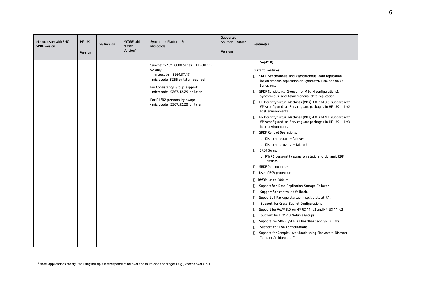| Metrocluster with EMC<br><b>SRDF Version</b> | HP-UX<br>Version | <b>SG Version</b> | <b>MCDREnabler</b><br>fileset<br>Version <sup>1</sup> | Symmetrix Platform &<br>Microcode <sup>2</sup>                                                                                                                                                                                                            | Supported<br><b>Solution Enabler</b><br><b>Versions</b> | Feature(s)                                                                                                                                                                                                                                                                                                                                                                                                                                                                                                                                                                                                                                                                                                                                                                                                                                                                                                                                                                                                                                                                                                                                                                                                                                                                                                                                                                                                           |
|----------------------------------------------|------------------|-------------------|-------------------------------------------------------|-----------------------------------------------------------------------------------------------------------------------------------------------------------------------------------------------------------------------------------------------------------|---------------------------------------------------------|----------------------------------------------------------------------------------------------------------------------------------------------------------------------------------------------------------------------------------------------------------------------------------------------------------------------------------------------------------------------------------------------------------------------------------------------------------------------------------------------------------------------------------------------------------------------------------------------------------------------------------------------------------------------------------------------------------------------------------------------------------------------------------------------------------------------------------------------------------------------------------------------------------------------------------------------------------------------------------------------------------------------------------------------------------------------------------------------------------------------------------------------------------------------------------------------------------------------------------------------------------------------------------------------------------------------------------------------------------------------------------------------------------------------|
|                                              |                  |                   |                                                       | Symmetrix "5" (8000 Series - HP-UX 11i<br>v2 only)<br>- microcode 5264.57.47<br>- microcode 5266 or later required<br>For Consistency Group support:<br>- microcode 5267.42.29 or later<br>For R1/R2 personality swap:<br>- microcode 5567.52.29 or later |                                                         | Sept'10)<br><b>Current Features:</b><br>o<br>SRDF Synchronous and Asynchronous data replication<br>(Asynchronous replication on Symmetrix DMX and VMAX<br>Series only)<br>SRDF Consistency Groups (for M by N configurations),<br>O.<br>Synchronous and Asynchronous data replication<br>HP Integrity Virtual Machines (VMs) 3.0 and 3.5 support with<br>u<br>VM's configured as Serviceguard packages in HP-UX 11i v2<br>host environments<br>п<br>HP Integrity Virtual Machines (VMs) 4.0 and 4.1 support with<br>VM's configured as Serviceguard packages in HP-UX 11i v3<br>host environments<br><b>SRDF Control Operations:</b><br>o.<br>o Disaster restart - failover<br>o Disaster recovery - failback<br><b>SRDF Swap:</b><br>П<br>o R1/R2 personality swap on static and dynamic RDF<br>devices<br><b>SRDF Domino mode</b><br>п<br>O<br>Use of BCV protection<br>D WDM up to 300km<br>Support for Data Replication Storage Failover<br>0<br>Support for controlled failback.<br>О<br>0<br>Support of Package startup in split state at R1.<br>О<br>Support for Cross-Subnet Configurations<br>Support for VxVM 5.0 on HP-UX 11i v2 and HP-UX 11i v3<br>U<br>Support for LVM 2.0 Volume Groups<br>U<br>O<br>Support for SONET/SDH as heartbeat and SRDF links<br>П<br>Support for IPv6 Configurations<br>О<br>Support for Complex workloads using Site Aware Disaster<br>Tolerant Architecture <sup>14</sup> |

<sup>14</sup> Note: Applications configured using multiple interdependent failover and multi-node packages (e.g., Apache over CFS)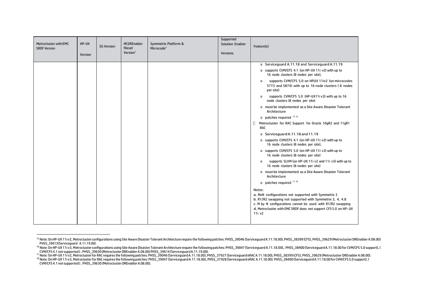| Metrocluster with EMC<br><b>SRDF Version</b> | HP-UX<br>Version | <b>SG Version</b> | <b>MCDREnabler</b><br>fileset<br>Version <sup>1</sup> | Symmetrix Platform &<br>Microcode <sup>2</sup> | Supported<br><b>Solution Enabler</b><br><b>Versions</b> | Feature(s)                                                                                                                                                                                                                                                                         |
|----------------------------------------------|------------------|-------------------|-------------------------------------------------------|------------------------------------------------|---------------------------------------------------------|------------------------------------------------------------------------------------------------------------------------------------------------------------------------------------------------------------------------------------------------------------------------------------|
|                                              |                  |                   |                                                       |                                                |                                                         | o Serviceguard A.11.18 and Serviceguard A.11.19                                                                                                                                                                                                                                    |
|                                              |                  |                   |                                                       |                                                |                                                         | o supports CVM/CFS 4.1 (on HP-UX 11i v2) with up to<br>16 node clusters (8 nodes per site),                                                                                                                                                                                        |
|                                              |                  |                   |                                                       |                                                |                                                         | supports CVM/CFS 5.0 on HPUX 11iv2 (on microcodes<br>$\mathbf 0$<br>5773 and 5874) with up to 16 node clusters (8 nodes<br>per site)                                                                                                                                               |
|                                              |                  |                   |                                                       |                                                |                                                         | supports CVM/CFS 5.0 (HP-UX11i v3) with up to 16<br>$\mathbf{o}$<br>node clusters (8 nodes per site)                                                                                                                                                                               |
|                                              |                  |                   |                                                       |                                                |                                                         | o must be implemented as a Site Aware Disaster Tolerant<br>Architecture                                                                                                                                                                                                            |
|                                              |                  |                   |                                                       |                                                |                                                         | 0 patches required 15 16                                                                                                                                                                                                                                                           |
|                                              |                  |                   |                                                       |                                                |                                                         | Metrocluster for RAC Support for Oracle 10gR2 and 11gR1<br>o<br>RAC                                                                                                                                                                                                                |
|                                              |                  |                   |                                                       |                                                |                                                         | o Serviceguard A.11.18 and 11.19                                                                                                                                                                                                                                                   |
|                                              |                  |                   |                                                       |                                                |                                                         | o supports CVM/CFS 4.1 (on HP-UX 11i v2) with up to<br>16 node clusters (8 nodes per site),                                                                                                                                                                                        |
|                                              |                  |                   |                                                       |                                                |                                                         | o supports CVM/CFS 5.0 (on HP-UX 11i v3) with up to<br>16 node clusters (8 nodes per site)                                                                                                                                                                                         |
|                                              |                  |                   |                                                       |                                                |                                                         | supports SLVM (on HP-UX 11i v2 and 11i v3) with up to<br>$\mathbf 0$<br>16 node clusters (8 nodes per site)                                                                                                                                                                        |
|                                              |                  |                   |                                                       |                                                |                                                         | o must be implemented as a Site Aware Disaster Tolerant<br>Architecture                                                                                                                                                                                                            |
|                                              |                  |                   |                                                       |                                                |                                                         | o patches required 17 18                                                                                                                                                                                                                                                           |
|                                              |                  |                   |                                                       |                                                |                                                         | Notes:<br>a. MxN configurations not supported with Symmetrix 3<br>b. R1/R2 swapping not supported with Symmetrix 3, 4, 4.8<br>c. M by N configurations cannot be used with R1/R2 swapping<br>d. Metrocluster with EMC SRDF does not support CFS 5.0 on HP-UX<br>11i v <sub>2</sub> |

<sup>&</sup>lt;sup>15</sup> Note: On HP-UX 11iv2, Metrocluster configurations using Site Aware Disaster Tolerant Architecture require the following patches: PHSS\_39046 (Serviceguard A.11.18.00), PHSS\_38399 (CFS), PHSS\_39629 (Metrocluster DREnabl PHSS\_39613(Serviceguard A.11.19.00).

<sup>&</sup>lt;sup>16</sup> Note: On HP-UX 11iv3, Metrocluster configurations using Site Aware Disaster Tolerant Architecture require the following patches: PHSS\_39047 (Serviceguard A.11.18.00),. PHSS\_38400 (Serviceguard A.11.18.00 for CVM/CFS 5

CVM/CFS 4.1 not supported), PHSS\_39630 (Metrocluster DREnabler A.08.00) PHSS\_39614 (Serviceguard A.11.19.00).<br><sup>17</sup> Note: On HP-UX 11iv2, Metrocluster for RAC requires the following patches: PHSS\_39046 (Serviceguard A.11.18 CVM/CFS4.1 not supported ) , PHSS\_39630 (MetroclusterDREnablerA.08.00).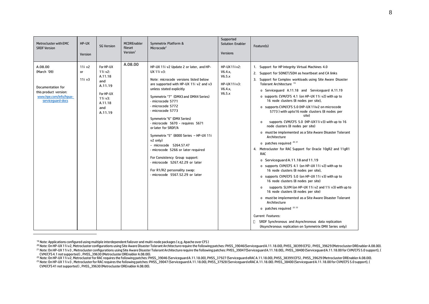| Metrocluster with EMC<br><b>SRDF Version</b>                                                                        | HP-UX<br>Version                              | <b>SG Version</b>                                                                                      | <b>MCDREnabler</b><br>fileset<br>Version <sup>1</sup> | Symmetrix Platform &<br>Microcode <sup>2</sup>                                                                                                                                                                                                                                                                                                                                                                                                                                                                                                                                                                                 | Supported<br><b>Solution Enabler</b><br><b>Versions</b>                 | Feature(s)                                                                                                                                                                                                                                                                                                                                                                                                                                                                                                                                                                                                                                                                                                                                                                                                                                                                                                                                                                                                                                                                                                                                                                                                                                                                                                                                    |
|---------------------------------------------------------------------------------------------------------------------|-----------------------------------------------|--------------------------------------------------------------------------------------------------------|-------------------------------------------------------|--------------------------------------------------------------------------------------------------------------------------------------------------------------------------------------------------------------------------------------------------------------------------------------------------------------------------------------------------------------------------------------------------------------------------------------------------------------------------------------------------------------------------------------------------------------------------------------------------------------------------------|-------------------------------------------------------------------------|-----------------------------------------------------------------------------------------------------------------------------------------------------------------------------------------------------------------------------------------------------------------------------------------------------------------------------------------------------------------------------------------------------------------------------------------------------------------------------------------------------------------------------------------------------------------------------------------------------------------------------------------------------------------------------------------------------------------------------------------------------------------------------------------------------------------------------------------------------------------------------------------------------------------------------------------------------------------------------------------------------------------------------------------------------------------------------------------------------------------------------------------------------------------------------------------------------------------------------------------------------------------------------------------------------------------------------------------------|
| A.08.00<br>(March '09)<br>Documentation for<br>this product version:<br>www.hpe.com/info/hpux-<br>servicequard-docs | 11i v <sub>2</sub><br><b>or</b><br>$11i$ $v3$ | For HP-UX<br>11i v2:<br>A.11.18<br>and<br>A.11.19<br>For HP-UX<br>11i v3:<br>A.11.18<br>and<br>A.11.19 | A.08.00                                               | HP-UX 11i v2 Update 2 or later, and HP-<br>UX 11i v3:<br>Note: microcode versions listed below<br>are supported with HP-UX 11i v2 and v3<br>unless stated explicitly<br>Symmetrix "7" (DMX3 and DMX4 Series)<br>- microcode 5771<br>- microcode 5772<br>- microcode 5773<br>Symmetrix "6" (DMX Series)<br>- microcode 5670 - reguires 5671<br>or later for SRDF/A<br>Symmetrix "5" (8000 Series - HP-UX 11i<br>v2 only)<br>- microcode 5264.57.47<br>- microcode 5266 or later required<br>For Consistency Group support:<br>- microcode 5267.42.29 or later<br>For R1/R2 personality swap:<br>- microcode 5567.52.29 or later | HP-UX 11i v2:<br>V6.4.x<br>V6.5.x<br>HP-UX 11i v3:<br>V6.4.x.<br>V6.5.x | 1. Support for HP Integrity Virtual Machines 4.0<br>2. Support for SONET/SDH as heartbeat and CA links<br>3. Support for Complex workloads using Site Aware Disaster<br>Tolerant Architecture <sup>19</sup><br>o Serviceguard A.11.18 and Serviceguard A.11.19<br>o supports CVM/CFS 4.1 (on HP-UX 11i v2) with up to<br>16 node clusters (8 nodes per site),<br>o supports CVM/CFS 5.0 (HP-UX 11iv2 on microcode<br>5773) with upto16 node clusters (8 nodes per<br>site)<br>supports CVM/CFS 5.0 (HP-UX11i v3) with up to 16<br>0<br>node clusters (8 nodes per site)<br>o must be implemented as a Site Aware Disaster Tolerant<br>Architecture<br>o patches required 20 21<br>4. Metrocluster for RAC Support for Oracle 10gR2 and 11gR1<br><b>RAC</b><br>o Serviceguard A.11.18 and 11.19<br>o supports CVM/CFS 4.1 (on HP-UX 11i v2) with up to<br>16 node clusters (8 nodes per site),<br>o supports CVM/CFS 5.0 (on HP-UX 11i v3) with up to<br>16 node clusters (8 nodes per site)<br>supports SLVM (on HP-UX 11i v2 and 11i v3) with up to<br>0<br>16 node clusters (8 nodes per site)<br>o must be implemented as a Site Aware Disaster Tolerant<br>Architecture<br>0 patches required 22 23<br>Current Features:<br>SRDF Synchronous and Asynchronous data replication<br>(Asynchronous replication on Symmetrix DMX Series only) |

<sup>&</sup>lt;sup>19</sup> Note: Applications configured using multiple interdependent failover and multi-node packages ( e,g, Apache over CFS )<br><sup>20</sup> Note: On HP-UX 11iv2, Metrocluster configurations using Site Aware Disaster Tolerant Architect

<sup>&</sup>lt;sup>21</sup> Note: On HP-UX 11iv3 , Metrocluster configurations using Site Aware Disaster Tolerant Architecture require the following patches: PHSS\_39047(Serviceguard A.11.18.00),. PHSS\_38400 (Serviceguard A.11.18.00 for CVM/CFS 5 CVM/CFS 4.1 not supported), PHSS\_39630 (Metrocluster DREnabler A.08.00).<br><sup>22</sup> Note: On HP-UX 11iv2, Metrocluster for RAC requires the following patches: PHSS\_39046 (Serviceguard A.11.18.00), PHSS\_37927 (Serviceguard eRAC A

CVM/CFS41 not supported ) , PHSS\_39630 (MetroclusterDREnablerA.08.00).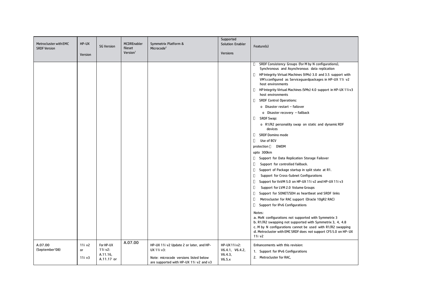| Metrocluster with EMC<br><b>SRDF Version</b> | HP-UX<br>Version       | <b>SG Version</b>                              | <b>MCDREnabler</b><br>fileset<br>Version <sup>1</sup> | Symmetrix Platform &<br>Microcode <sup>2</sup>                                                                                           | Supported<br><b>Solution Enabler</b><br><b>Versions</b> | Feature(s)                                                                                                                                                                                                                                                                                                                                                                                                                                                                                                                                                                                                                                                                                                                                                                                                                                                                                                                                                                                                                                                                                                                                                                                                                                                                                                                                                                                              |
|----------------------------------------------|------------------------|------------------------------------------------|-------------------------------------------------------|------------------------------------------------------------------------------------------------------------------------------------------|---------------------------------------------------------|---------------------------------------------------------------------------------------------------------------------------------------------------------------------------------------------------------------------------------------------------------------------------------------------------------------------------------------------------------------------------------------------------------------------------------------------------------------------------------------------------------------------------------------------------------------------------------------------------------------------------------------------------------------------------------------------------------------------------------------------------------------------------------------------------------------------------------------------------------------------------------------------------------------------------------------------------------------------------------------------------------------------------------------------------------------------------------------------------------------------------------------------------------------------------------------------------------------------------------------------------------------------------------------------------------------------------------------------------------------------------------------------------------|
|                                              |                        |                                                |                                                       |                                                                                                                                          |                                                         | SRDF Consistency Groups (for M by N configurations),<br>U<br>Synchronous and Asynchronous data replication<br>O<br>HP Integrity Virtual Machines (VMs) 3.0 and 3.5 support with<br>VM's configured as Serviceguardpackages in HP-UX 11i v2<br>host environments<br>o<br>HP Integrity Virtual Machines (VMs) 4.0 support in HP-UX 11iv3<br>host environments<br><b>SRDF Control Operations:</b><br>O<br>o Disaster restart - failover<br>o Disaster recovery - failback<br>O<br>SRDF Swap:<br>o R1/R2 personality swap on static and dynamic RDF<br>devices<br><b>SRDF Domino mode</b><br>o<br>Use of BCV<br>O<br>protection D<br>DWDM<br>upto 300km<br>O<br>Support for Data Replication Storage Failover<br>O<br>Support for controlled failback.<br>O<br>Support of Package startup in split state at R1.<br>O<br>Support for Cross-Subnet Configurations<br>O<br>Support for VxVM 5.0 on HP-UX 11i v2 and HP-UX 11i v3<br>O<br>Support for LVM 2.0 Volume Groups<br>O<br>Support for SONET/SDH as heartbeat and SRDF links<br>O<br>Metrocluster for RAC support (Oracle 10gR2 RAC)<br>O<br>Support for IPv6 Configurations<br>Notes:<br>a. MxN configurations not supported with Symmetrix 3<br>b. R1/R2 swapping not supported with Symmetrix 3, 4, 4.8<br>c. M by N configurations cannot be used with R1/R2 swapping<br>d. Metrocluster with EMC SRDF does not support CFS 5.0 on HP-UX<br>11i v2 |
| A.07.00<br>(September'08)                    | 11i v2<br>or<br>11i v3 | For HP-UX<br>11i v2:<br>A.11.16,<br>A.11.17 or | A.07.00                                               | HP-UX 11i v2 Update 2 or later, and HP-<br>UX 11i v3:<br>Note: microcode versions listed below<br>are supported with HP-UX 11i v2 and v3 | HP-UX 11i v2:<br>V6.4.1, V6.4.2,<br>V6.4.3,<br>V6.5.x   | Enhancements with this revision:<br>1. Support for IPv6 Configurations<br>2. Metrocluster for RAC,                                                                                                                                                                                                                                                                                                                                                                                                                                                                                                                                                                                                                                                                                                                                                                                                                                                                                                                                                                                                                                                                                                                                                                                                                                                                                                      |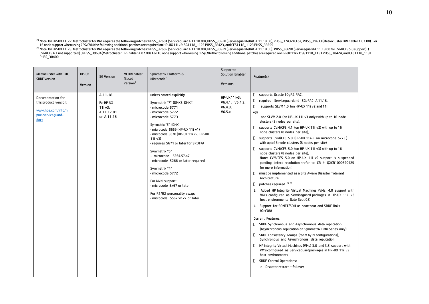<sup>24</sup> Note: On HP-UX 11iv2, Metrocluster for RAC requires the following patches: PHSS\_37601 (Serviceguard A.11.18.00), PHSS\_36928 (Serviceguard eRAC A.11.18.00), PHSS\_37432 (CFS) , PHSS\_39633 (Metrocluster DREnabler A.07.00 PHSS\_38400

| Metrocluster with EMC<br><b>SRDF Version</b>                                                  | HP-UX<br>Version | <b>SG Version</b>                                           | <b>MCDREnabler</b><br>fileset<br>Version <sup>1</sup> | Symmetrix Platform &<br>Microcode <sup>2</sup>                                                                                                                                                                                                                                                                                                                                                                                                                                                                     | Supported<br><b>Solution Enabler</b><br><b>Versions</b> | Feature(s)                                                                                                                                                                                                                                                                                                                                                                                                                                                                                                                                                                                                                                                                                                                                                                                                                                                                                                                                                                                                                                                                                                                                                                                                                                                                                                                                                                                                                                                                                                                                                   |
|-----------------------------------------------------------------------------------------------|------------------|-------------------------------------------------------------|-------------------------------------------------------|--------------------------------------------------------------------------------------------------------------------------------------------------------------------------------------------------------------------------------------------------------------------------------------------------------------------------------------------------------------------------------------------------------------------------------------------------------------------------------------------------------------------|---------------------------------------------------------|--------------------------------------------------------------------------------------------------------------------------------------------------------------------------------------------------------------------------------------------------------------------------------------------------------------------------------------------------------------------------------------------------------------------------------------------------------------------------------------------------------------------------------------------------------------------------------------------------------------------------------------------------------------------------------------------------------------------------------------------------------------------------------------------------------------------------------------------------------------------------------------------------------------------------------------------------------------------------------------------------------------------------------------------------------------------------------------------------------------------------------------------------------------------------------------------------------------------------------------------------------------------------------------------------------------------------------------------------------------------------------------------------------------------------------------------------------------------------------------------------------------------------------------------------------------|
| Documentation for<br>this product version:<br>www.hpe.com/info/h<br>pux-serviceguard-<br>docs |                  | A.11.18<br>For HP-UX<br>11i v3:<br>A.11.17.01<br>or A.11.18 |                                                       | unless stated explicitly<br>Symmetrix "7" (DMX3, DMX4)<br>- microcode 5771<br>- microcode 5772<br>microcode 5773<br>Symmetrix "6" (DMX) - -<br>- microcode 5669 (HP-UX 11i v1)<br>- microcode 5670 (HP-UX 11i v2, HP-UX<br>11i v3)<br>- requires 5671 or later for SRDF/A<br>Symmetrix "5"<br>- microcode 5264.57.47<br>- microcode 5266 or later required<br>Symmetrix "4"<br>- microcode 5772<br>For MxN support:<br>- microcode 5x67 or later<br>For R1/R2 personality swap:<br>- microcode 5567.xx.xx or later | HP-UX 11i v3:<br>V6.4.1, V6.4.2,<br>V6.4.3,<br>V6.5.x   | supports Oracle 10gR2 RAC,<br>u<br>O<br>requires Serviceguardand SGeRAC A.11.18,<br>П.<br>supports SLVM 1.0 (on HP-UX 11i v2 and 11i<br>v3)<br>and SLVM 2.0 (on HP-UX 11i v3 only) with up to 16 node<br>clusters (8 nodes per site),<br>o<br>supports CVM/CFS 4.1 (on HP-UX 11i v2) with up to 16<br>node clusters (8 nodes per site),<br>$\Box$<br>supports CVM/CFS 5.0 (HP-UX 11iv2 on microcode 5773)<br>with upto16 node clusters (8 nodes per site)<br>D.<br>supports CVM/CFS 5.0 (on HP-UX 11i v3) with up to 16<br>node clusters (8 nodes per site),<br>Note: CVM/CFS 5.0 on HP-UX 11i v2 support is suspended<br>pending defect resolution (refer to CR # QXCR1000890425<br>for more information)<br>o<br>must be implemented as a Site Aware Disaster Tolerant<br>Architecture<br>patches required 24 25<br>O<br>3. Added HP Integrity Virtual Machines (VMs) 4.0 support with<br>VM's configured as Serviceguard packages in HP-UX 11i v3<br>host environments (late Sept'08)<br>4. Support for SONET/SDH as heartbeat and SRDF links<br>(Oct'08)<br><b>Current Features:</b><br>□ SRDF Synchronous and Asynchronous data replication<br>(Asynchronous replication on Symmetrix DMX Series only)<br>SRDF Consistency Groups (for M by N configurations),<br>O.<br>Synchronous and Asynchronous data replication<br><b>I</b> HP Integrity Virtual Machines (VMs) 3.0 and 3.5 support with<br>VM's configured as Serviceguardpackages in HP-UX 11i v2<br>host environments<br><b>SRDF Control Operations:</b><br>O<br>o Disaster restart - failover |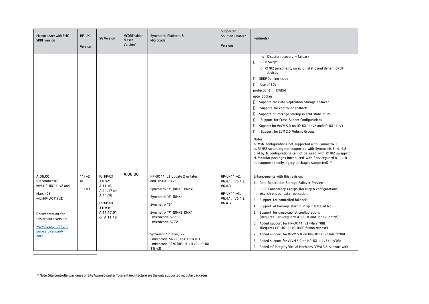| Metrocluster with EMC<br><b>SRDF Version</b>                                                                                                                                        | HP-UX<br>Version                   | <b>SG Version</b>                                                                                                | <b>MCDREnabler</b><br>fileset<br>Version <sup>1</sup> | Symmetrix Platform &<br>Microcode <sup>2</sup>                                                                                                                                                                                                                                                                   | Supported<br><b>Solution Enabler</b><br><b>Versions</b>                                  | Feature(s)                                                                                                                                                                                                                                                                                                                                                                                                                                                                                                                                                                                                                                                                                                                                                                                                                                                                   |
|-------------------------------------------------------------------------------------------------------------------------------------------------------------------------------------|------------------------------------|------------------------------------------------------------------------------------------------------------------|-------------------------------------------------------|------------------------------------------------------------------------------------------------------------------------------------------------------------------------------------------------------------------------------------------------------------------------------------------------------------------|------------------------------------------------------------------------------------------|------------------------------------------------------------------------------------------------------------------------------------------------------------------------------------------------------------------------------------------------------------------------------------------------------------------------------------------------------------------------------------------------------------------------------------------------------------------------------------------------------------------------------------------------------------------------------------------------------------------------------------------------------------------------------------------------------------------------------------------------------------------------------------------------------------------------------------------------------------------------------|
|                                                                                                                                                                                     |                                    |                                                                                                                  |                                                       |                                                                                                                                                                                                                                                                                                                  |                                                                                          | o Disaster recovery - failback<br>$\Box$<br><b>SRDF Swap:</b><br>o R1/R2 personality swap on static and dynamic RDF<br>devices<br>O<br><b>SRDF Domino mode</b><br>O<br>Use of BCV<br>protection D DWDM<br>upto 300km<br>O<br>Support for Data Replication Storage Failover<br>$\Box$<br>Support for controlled failback.<br>O<br>Support of Package startup in split state at R1.<br>$\Box$<br>Support for Cross-Subnet Configurations<br>$\Box$<br>Support for VxVM 5.0 on HP-UX 11i v2 and HP-UX 11i v3<br>O<br>Support for LVM 2.0 Volume Groups<br>Notes:<br>a. MxN configurations not supported with Symmetrix 3<br>b. R1/R2 swapping not supported with Symmetrix 3, 4, 4.8<br>c. M by N configurations cannot be used with R1/R2 swapping<br>d. Modular packages introduced with Serviceguard A.11.18<br>not supported (only legacy packages supported) <sup>26</sup> |
| A.06.00<br>(December'07<br>with HP-UX 11i v2 and<br>March'08<br>with HP-UX 11i v3)<br>Documentation for<br>this product version:<br>www.hpe.com/info/h<br>pux-serviceguard-<br>docs | 11i v <sub>2</sub><br>or<br>11i v3 | For HP-UX<br>11i v2:<br>A.11.16,<br>A.11.17 or<br>A.11.18<br>For HP-UX<br>$11i v3$ :<br>A.11.17.01<br>or A.11.18 | A.06.00                                               | HP-UX 11i v2 Update 2 or later,<br>and HP-UX 11i v3:<br>Symmetrix "7" (DMX3, DMX4)<br>Symmetrix "6" (DMX)<br>Symmetrix "5"<br>Symmetrix "7" (DMX3, DMX4)<br>microcode 5771<br>- microcode 5772<br>Symmetrix "6" (DMX) - -<br>- microcode 5669 (HP-UX 11i v1)<br>- microcode 5670 (HP-UX 11i v2, HP-UX<br>11i v3) | HP-UX 11i v2:<br>V6.4.1, V6.4.2,<br>V6.4.3<br>HP-UX 11i v3:<br>V6.4.1, V6.4.2,<br>V6.4.3 | Enhancements with this revision:<br>1. Data Replication Storage Failover Preview<br>2. SRDF Consistency Groups (for M by N configurations),<br>Asynchronous data replication.<br>3. Support for controlled failback.<br>4. Support of Package startup in split state at R1.<br>5. Support for cross-subnet configurations<br>(Requires Serviceguard A.11.18 and Jan'08 patch)<br>6. Added support for HP-UX 11i v3 (March'08)<br>(Requires HP-UX 11i v3 0803 fusion release)<br>7. Added support for VxVM 5.0 on HP-UX 11i v2 (March'08)<br>8. Added support for VxVM 5.0 on HP-UX 11i v3 (July'08)<br>9. Added HP Integrity Virtual Machines (VMs) 3.5 support with                                                                                                                                                                                                         |

<sup>26</sup> Note: Site Controller packages of Site Aware Disaster Tolerant Architecture are the only supported modular packages.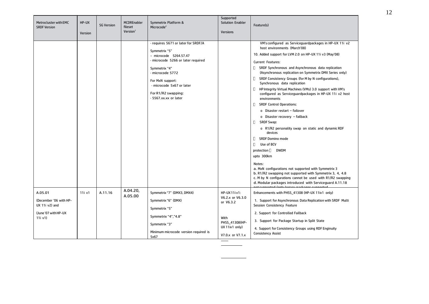| Metrocluster with EMC<br><b>SRDF Version</b>                                          | HP-UX<br>Version | <b>SG Version</b> | <b>MCDREnabler</b><br>fileset<br>Version <sup>1</sup> | Symmetrix Platform &<br>Microcode <sup>2</sup>                                                                                                                                                                                                             | Supported<br><b>Solution Enabler</b><br><b>Versions</b>                                                        | Feature(s)                                                                                                                                                                                                                                                                                                                                                                                                                                                                                                                                                                                                                                                                                                                                                                                                                                                                                                                                                                                                                                                                        |
|---------------------------------------------------------------------------------------|------------------|-------------------|-------------------------------------------------------|------------------------------------------------------------------------------------------------------------------------------------------------------------------------------------------------------------------------------------------------------------|----------------------------------------------------------------------------------------------------------------|-----------------------------------------------------------------------------------------------------------------------------------------------------------------------------------------------------------------------------------------------------------------------------------------------------------------------------------------------------------------------------------------------------------------------------------------------------------------------------------------------------------------------------------------------------------------------------------------------------------------------------------------------------------------------------------------------------------------------------------------------------------------------------------------------------------------------------------------------------------------------------------------------------------------------------------------------------------------------------------------------------------------------------------------------------------------------------------|
|                                                                                       |                  |                   |                                                       | - requires 5671 or later for SRDF/A<br>Symmetrix "5"<br>- microcode 5264.57.47<br>- microcode 5266 or later required<br>Symmetrix "4"<br>- microcode 5772<br>For MxN support:<br>- microcode 5x67 or later<br>For R1/R2 swapping:<br>- 5567.xx.xx or later |                                                                                                                | VM's configured as Serviceguardpackages in HP-UX 11i v2<br>host environments (March'08)<br>10. Added support for LVM 2.0 on HP-UX 11i v3 (May'08)<br>Current Features:<br>SRDF Synchronous and Asynchronous data replication<br>(Asynchronous replication on Symmetrix DMX Series only)<br>SRDF Consistency Groups (for M by N configurations),<br>D.<br>Synchronous data replication<br>HP Integrity Virtual Machines (VMs) 3.0 support with VM's<br>U.<br>configured as Serviceguardpackages in HP-UX 11i v2 host<br>environments<br>0<br><b>SRDF Control Operations:</b><br>o Disaster restart - failover<br>o Disaster recovery - failback<br>o<br>SRDF Swap:<br>o R1/R2 personality swap on static and dynamic RDF<br>devices<br>0<br><b>SRDF Domino mode</b><br>0<br>Use of BCV<br>protection [ DWDM<br>upto 300km<br>Notes:<br>a. MxN configurations not supported with Symmetrix 3<br>b. R1/R2 swapping not supported with Symmetrix 3, 4, 4.8<br>c. M by N configurations cannot be used with R1/R2 swapping<br>d. Modular packages introduced with Serviceguard A.11.18 |
| A.05.01<br>(December '06 with HP-<br>UX 11i v2) and<br>(June'07 with HP-UX<br>11i v1) | 11i v1           | A.11.16           | A.04.20,<br>A.05.00                                   | Symmetrix "7" (DMX3, DMX4)<br>Symmetrix "6" (DMX)<br>Symmetrix "5"<br>Symmetrix "4","4.8"<br>Symmetrix "3"<br>Minimum microcode version required is<br>5x67                                                                                                | HP-UX 11i v1:<br>V6.2.x or V6.3.0<br>or V6.3.2<br>With<br>PHSS 41308(HP-<br>UX 11iv1 only)<br>V7.0.x or V7.1.x | Enhancements with PHSS_41308 (HP-UX 11iv1 only)<br>1. Support for Asynchronous Data Replication with SRDF Multi<br>Session Consistency Feature<br>2. Support for Controlled Failback<br>3. Support for Package Startup in Split State<br>4. Support for Consistency Groups using RDF Enginuity<br><b>Consistency Assist</b>                                                                                                                                                                                                                                                                                                                                                                                                                                                                                                                                                                                                                                                                                                                                                       |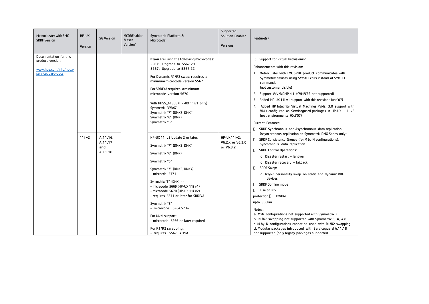| Metrocluster with EMC<br><b>SRDF Version</b>                                              | HP-UX<br>Version   | <b>SG Version</b>                     | <b>MCDREnabler</b><br>fileset<br>Version <sup>1</sup> | Symmetrix Platform &<br>Microcode <sup>2</sup>                                                                                                                                                                                                                                                                                                                                                                    | Supported<br><b>Solution Enabler</b><br><b>Versions</b> | Feature(s)                                                                                                                                                                                                                                                                                                                                                                                                                                                                                                                                                                                                                                                                                        |
|-------------------------------------------------------------------------------------------|--------------------|---------------------------------------|-------------------------------------------------------|-------------------------------------------------------------------------------------------------------------------------------------------------------------------------------------------------------------------------------------------------------------------------------------------------------------------------------------------------------------------------------------------------------------------|---------------------------------------------------------|---------------------------------------------------------------------------------------------------------------------------------------------------------------------------------------------------------------------------------------------------------------------------------------------------------------------------------------------------------------------------------------------------------------------------------------------------------------------------------------------------------------------------------------------------------------------------------------------------------------------------------------------------------------------------------------------------|
| Documentation for this<br>product version:<br>www.hpe.com/info/hpux-<br>serviceguard-docs | 11i v <sub>2</sub> |                                       |                                                       | If you are using the following microcodes:<br>5567: Upgrade to 5567.29<br>5267: Upgrade to 5267.22<br>For Dynamic R1/R2 swap: requires a<br>minimum microcode version 5567<br>For SRDF/A requires: a minimum<br>microcode version 5670<br>With PHSS_41308 (HP-UX 11iv1 only)<br>Symmetrix "VMAX"<br>Symmetrix "7" (DMX3, DMX4)<br>Symmetrix "6" (DMX)<br>Symmetrix "5"<br>HP-UX 11i v2 Update 2 or later:         | HP-UX 11i v2:                                           | 5. Support for Virtual Provisioning<br>Enhancements with this revision:<br>1. Metrocluster with EMC SRDF product communicates with<br>Symmetrix devices using SYMAPI calls instead of SYMCLI<br>commands<br>(not customer visible)<br>2. Support VxVM/DMP 4.1 (CVM/CFS not supported)<br>3. Added HP-UX 11i v1 support with this revision (June'07)<br>4. Added HP Integrity Virtual Machines (VMs) 3.0 support with<br>VM's configured as Serviceguard packages in HP-UX 11i v2<br>host environments (Oct'07)<br><b>Current Features:</b><br><b>D</b> SRDF Synchronous and Asynchronous data replication<br>(Asynchronous replication on Symmetrix DMX Series only)                              |
|                                                                                           |                    | A.11.16,<br>A.11.17<br>and<br>A.11.18 |                                                       | Symmetrix "7" (DMX3, DMX4)<br>Symmetrix "6" (DMX)<br>Symmetrix "5"<br>Symmetrix "7" (DMX3, DMX4)<br>- microcde 5771<br>Symmetrix "6" (DMX) - -<br>- microcode 5669 (HP-UX 11i v1)<br>- microcode 5670 (HP-UX 11i v2)<br>- requires 5671 or later for SRDF/A<br>Symmetrix "5"<br>- microcode 5264.57.47<br>For MxN support:<br>- microcode 5266 or later required<br>For R1/R2 swapping:<br>- requires 5567.34.19A | V6.2.x or V6.3.0<br>or V6.3.2                           | □ SRDF Consistency Groups (for M by N configurations),<br>Synchronous data replication<br><b>SRDF Control Operations:</b><br>O.<br>o Disaster restart - failover<br>o Disaster recovery - failback<br>0<br><b>SRDF Swap:</b><br>o R1/R2 personality swap on static and dynamic RDF<br>devices<br><b>SRDF Domino mode</b><br>0<br>0<br>Use of BCV<br>protection []<br>DWDM<br>upto 300km<br>Notes:<br>a. MxN configurations not supported with Symmetrix 3<br>b. R1/R2 swapping not supported with Symmetrix 3, 4, 4.8<br>c. M by N configurations cannot be used with R1/R2 swapping<br>d. Modular packages introduced with Serviceguard A.11.18<br>not supported (only legacy packages supported |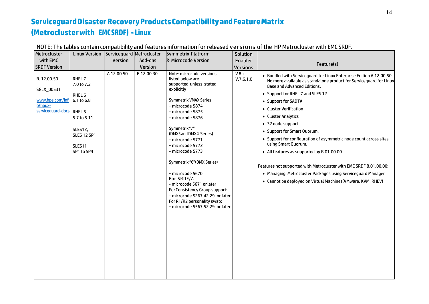## **ServiceguardDisaster RecoveryProductsCompatibilityandFeatureMatrix (Metroclusterwith EMCSRDF) - Linux**

| Metrocluster                                                                        | <b>Linux Version</b>                                                                                                            | Serviceguard Metrocluster |            | Symmetrix Platform                                                                                                                                                                                                                                                                                                                                                                                                                                                                                                          | Solution           |                                                                                                                                                                                                                                                                                                                                                                                                                                                                                                                                                                                                                                                                                                |
|-------------------------------------------------------------------------------------|---------------------------------------------------------------------------------------------------------------------------------|---------------------------|------------|-----------------------------------------------------------------------------------------------------------------------------------------------------------------------------------------------------------------------------------------------------------------------------------------------------------------------------------------------------------------------------------------------------------------------------------------------------------------------------------------------------------------------------|--------------------|------------------------------------------------------------------------------------------------------------------------------------------------------------------------------------------------------------------------------------------------------------------------------------------------------------------------------------------------------------------------------------------------------------------------------------------------------------------------------------------------------------------------------------------------------------------------------------------------------------------------------------------------------------------------------------------------|
| with EMC                                                                            |                                                                                                                                 | Version                   | Add-ons    | & Microcode Version                                                                                                                                                                                                                                                                                                                                                                                                                                                                                                         | Enabler            |                                                                                                                                                                                                                                                                                                                                                                                                                                                                                                                                                                                                                                                                                                |
| <b>SRDF Version</b>                                                                 |                                                                                                                                 |                           | Version    |                                                                                                                                                                                                                                                                                                                                                                                                                                                                                                                             | <b>Versions</b>    | Feature(s)                                                                                                                                                                                                                                                                                                                                                                                                                                                                                                                                                                                                                                                                                     |
| B. 12.00.50<br>SGLX_00531<br>www.hpe.com/inf<br>o/hpux-<br>serviceguard-docs RHEL 5 | RHEL 7<br>7.0 to 7.2<br>RHEL <sub>6</sub><br>6.1 to 6.8<br>5.7 to 5.11<br>SLES12,<br><b>SLES 12 SP1</b><br>SLES11<br>SP1 to SP4 | A.12.00.50                | B.12.00.30 | Note: microcode versions<br>listed below are<br>supported unless stated<br>explicitly<br><b>Symmetrix VMAX Series</b><br>- microcode 5874<br>- microcode 5875<br>- microcode 5876<br>Symmetrix"7"<br>(DMX3 and DMX4 Series)<br>- microcode 5771<br>- microcode 5772<br>- microcode 5773<br>Symmetrix "6" (DMX Series)<br>- microcode 5670<br>For SRDF/A<br>- microcode 5671 or later<br>For Consistency Group support:<br>- microcode 5267.42.29 or later<br>For R1/R2 personality swap:<br>- microcode 5567.52.29 or later | V 8.x<br>V.7.6.1.0 | • Bundled with Serviceguard for Linux Enterprise Edition A.12.00.50.<br>No more available as standalone product for Serviceguard for Linux<br><b>Base and Advanced Editions.</b><br>• Support for RHEL 7 and SLES 12<br>• Support for SADTA<br>• Cluster Verification<br>• Cluster Analytics<br>• 32 node support<br>• Support for Smart Quorum.<br>• Support for configuration of asymmetric node count across sites<br>using Smart Quorum.<br>• All features as supported by B.01.00.00<br>Features not supported with Metrocluster with EMC SRDF B.01.00.00:<br>• Managing Metrocluster Packages using Serviceguard Manager<br>• Cannot be deployed on Virtual Machines (VMware, KVM, RHEV) |
|                                                                                     |                                                                                                                                 |                           |            |                                                                                                                                                                                                                                                                                                                                                                                                                                                                                                                             |                    |                                                                                                                                                                                                                                                                                                                                                                                                                                                                                                                                                                                                                                                                                                |

NOTE: The tables contain compatibility and features information for released versions of the HP Metrocluster with EMC SRDF.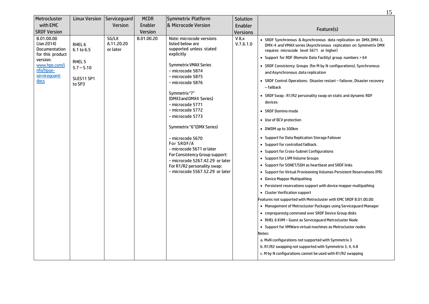|                                                                                                                                         |                                                                                              |                                 |                                   |                                                                                                                                                                                                                                                                                                                                                                                                                                                                                                                           |                                       | 15                                                                                                                                                                                                                                                                                                                                                                                                                                                                                                                                                                                                                                                                                                                                                                                                                                                                                                                                                                                                                                                                                                                                                                                                                                                                                                                                                                                                                                                                                                                                                                                 |
|-----------------------------------------------------------------------------------------------------------------------------------------|----------------------------------------------------------------------------------------------|---------------------------------|-----------------------------------|---------------------------------------------------------------------------------------------------------------------------------------------------------------------------------------------------------------------------------------------------------------------------------------------------------------------------------------------------------------------------------------------------------------------------------------------------------------------------------------------------------------------------|---------------------------------------|------------------------------------------------------------------------------------------------------------------------------------------------------------------------------------------------------------------------------------------------------------------------------------------------------------------------------------------------------------------------------------------------------------------------------------------------------------------------------------------------------------------------------------------------------------------------------------------------------------------------------------------------------------------------------------------------------------------------------------------------------------------------------------------------------------------------------------------------------------------------------------------------------------------------------------------------------------------------------------------------------------------------------------------------------------------------------------------------------------------------------------------------------------------------------------------------------------------------------------------------------------------------------------------------------------------------------------------------------------------------------------------------------------------------------------------------------------------------------------------------------------------------------------------------------------------------------------|
| Metrocluster<br>with EMC<br><b>SRDF Version</b>                                                                                         | <b>Linux Version</b>                                                                         | Serviceguard<br>Version         | <b>MCDR</b><br>Enabler<br>Version | Symmetrix Platform<br>& Microcode Version                                                                                                                                                                                                                                                                                                                                                                                                                                                                                 | Solution<br>Enabler                   | Feature(s)                                                                                                                                                                                                                                                                                                                                                                                                                                                                                                                                                                                                                                                                                                                                                                                                                                                                                                                                                                                                                                                                                                                                                                                                                                                                                                                                                                                                                                                                                                                                                                         |
| B.01.00.00<br>(Jan 2014)<br><b>Documentation</b><br>for this product<br>version:<br>www.hpe.com/i<br>nfo/hpux-<br>servicequard-<br>docs | RHEL <sub>6</sub><br>6.1 to 6.5<br>RHEL <sub>5</sub><br>$5.7 - 5.10$<br>SLES11 SP1<br>to SP3 | SG/LX<br>A.11.20.20<br>or later | B.01.00.20                        | Note: microcode versions<br>listed below are<br>supported unless stated<br>explicitly<br><b>Symmetrix VMAX Series</b><br>- microcode 5874<br>- microcode 5875<br>- microcode 5876<br>Symmetrix"7"<br>(DMX3 and DMX4 Series)<br>- microcode 5771<br>- microcode 5772<br>- microcode 5773<br>Symmetrix "6" (DMX Series)<br>- microcode 5670<br>For SRDF/A<br>- microcode 5671 or later<br>For Consistency Group support:<br>- microcode 5267.42.29 or later<br>For R1/R2 personality swap:<br>microcode 5567.52.29 or later | <b>Versions</b><br>V 8.x<br>V.7.6.1.0 | • SRDF Synchronous & Asynchronous data replication on DMX, DMX-3,<br>DMX-4 and VMAX series (Asynchronous replication on Symmetrix DMX<br>requires microcode level 5671 or higher)<br>• Support for RDF (Remote Data Facility) group numbers > 64<br>• SRDF Consistency Groups (for M by N configurations), Synchronous<br>and Asynchronous data replication<br>• SRDF Control Operations: Disaster restart - failover, Disaster recovery<br>- failback<br>• SRDF Swap: R1/R2 personality swap on static and dynamic RDF<br>devices<br>• SRDF Domino mode<br>• Use of BCV protection<br>• DWDM up to 300km<br>• Support for Data Replication Storage Failover<br>• Support for controlled failback.<br>• Support for Cross-Subnet Configurations<br>• Support for LVM Volume Groups<br>• Support for SONET/SDH as heartbeat and SRDF links<br>• Support for Virtual Provisioning Volumes Persistent Reservations (PR)<br>• Device Mapper Multipathing<br>• Persistent reservations support with device mapper multipathing<br>• Cluster Verification support<br>Features not supported with Metrocluster with EMC SRDF B.01.00.00:<br>• Management of Metrocluster Packages using Serviceguard Manager<br>• cmpreparestg command over SRDF Device Group disks<br>• RHEL 6 KVM - Guest as Serviceguard Metrocluster Node<br>• Support for VMWare virtual machines as Metrocluster nodes<br>Notes:<br>a. MxN configurations not supported with Symmetrix 3<br>b. R1/R2 swapping not supported with Symmetrix 3, 4, 4.8<br>c. M by N configurations cannot be used with R1/R2 swapping |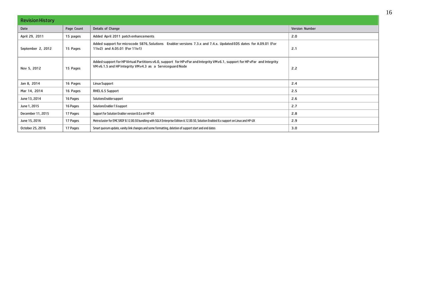| <b>Revision History</b> |            |                                                                                                                                                                                          |                       |  |  |  |  |
|-------------------------|------------|------------------------------------------------------------------------------------------------------------------------------------------------------------------------------------------|-----------------------|--|--|--|--|
| Date                    | Page Count | Details of Change                                                                                                                                                                        | <b>Version Number</b> |  |  |  |  |
| April 29, 2011          | 15 pages   | Added April 2011 patch enhancements                                                                                                                                                      | 2.0                   |  |  |  |  |
| September 2, 2012       | 15 Pages   | Added support for microcode 5876, Solutions Enabler versions 7.3.x and 7.4.x. Updated EOS dates for A.09.01 (For<br>11iv2) and A.05.01 (For 11iv1)                                       | 2.1                   |  |  |  |  |
| Nov 5, 2012             | 15 Pages   | Added support for HP Virtual Partitions v6.0, support for HP vPar and Integrity VM v6.1, support for HP vPar and Integrity<br>VM v6.1.5 and HP Integrity VM v4.3 as a Service guard Node | 2.2                   |  |  |  |  |
| Jan 8, 2014             | 16 Pages   | <b>Linux Support</b>                                                                                                                                                                     | 2.4                   |  |  |  |  |
| Mar 14, 2014            | 16 Pages   | RHEL 6.5 Support                                                                                                                                                                         | 2.5                   |  |  |  |  |
| June 13, 2014           | 16 Pages   | SolutionsEnablersupport                                                                                                                                                                  | 2.6                   |  |  |  |  |
| June 1, 2015            | 16 Pages   | Solutions Enabler 7.6 support                                                                                                                                                            | 2.7                   |  |  |  |  |
| December 11, 2015       | 17 Pages   | Support for Solution Enabler version 8.0.x on HP-UX                                                                                                                                      | 2.8                   |  |  |  |  |
| June 15, 2016           | 17 Pages   | Metrocluster for EMC SRDF B.12.00.50 bundling with SGLX Enterprise Edition A.12.00.50, Solution Enabled 8.x support on Linux and HP-UX                                                   | 2.9                   |  |  |  |  |
| October 25, 2016        | 17 Pages   | Smart quorum update, vanity link changes and some formatting, deletion of support start and end dates                                                                                    | 3.0                   |  |  |  |  |